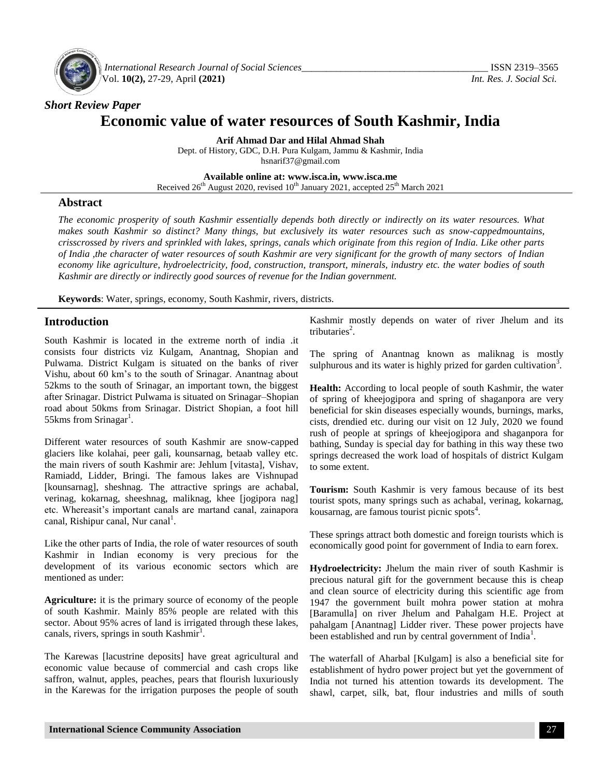

*International Research Journal of Social Sciences\_\_\_\_\_\_\_\_\_\_\_\_\_\_\_\_\_\_\_\_\_\_\_\_\_\_\_\_\_\_\_\_\_\_\_\_\_\_* ISSN 2319–3565 Vol. **10(2),** 27-29, April **(2021)** *Int. Res. J. Social Sci.*

# *Short Review Paper* **Economic value of water resources of South Kashmir, India**

**Arif Ahmad Dar and Hilal Ahmad Shah**

Dept. of History, GDC, D.H. Pura Kulgam, Jammu & Kashmir, India [hsnarif37@gmail.com](mailto:hsnarif37@gmail.com)

**Available online at: [www.isca.in,](http://www.isca.in/) www.isca.me** Received 26<sup>th</sup> August 2020, revised 10<sup>th</sup> January 2021, accepted 25<sup>th</sup> March 2021

### **Abstract**

*The economic prosperity of south Kashmir essentially depends both directly or indirectly on its water resources. What makes south Kashmir so distinct? Many things, but exclusively its water resources such as snow-cappedmountains, crisscrossed by rivers and sprinkled with lakes, springs, canals which originate from this region of India. Like other parts of India ,the character of water resources of south Kashmir are very significant for the growth of many sectors of Indian economy like agriculture, hydroelectricity, food, construction, transport, minerals, industry etc. the water bodies of south Kashmir are directly or indirectly good sources of revenue for the Indian government.*

**Keywords**: Water, springs, economy, South Kashmir, rivers, districts.

#### **Introduction**

South Kashmir is located in the extreme north of india .it consists four districts viz Kulgam, Anantnag, Shopian and Pulwama. District Kulgam is situated on the banks of river Vishu, about 60 km's to the south of Srinagar. Anantnag about 52kms to the south of Srinagar, an important town, the biggest after Srinagar. District Pulwama is situated on Srinagar–Shopian road about 50kms from Srinagar. District Shopian, a foot hill 55 kms from Srinagar<sup>1</sup>.

Different water resources of south Kashmir are snow-capped glaciers like kolahai, peer gali, kounsarnag, betaab valley etc. the main rivers of south Kashmir are: Jehlum [vitasta], Vishav, Ramiadd, Lidder, Bringi. The famous lakes are Vishnupad [kounsarnag], sheshnag. The attractive springs are achabal, verinag, kokarnag, sheeshnag, maliknag, khee [jogipora nag] etc. Whereasit's important canals are martand canal, zainapora canal, Rishipur canal, Nur canal<sup>1</sup>.

Like the other parts of India, the role of water resources of south Kashmir in Indian economy is very precious for the development of its various economic sectors which are mentioned as under:

**Agriculture:** it is the primary source of economy of the people of south Kashmir. Mainly 85% people are related with this sector. About 95% acres of land is irrigated through these lakes, canals, rivers, springs in south Kashmir<sup>1</sup>.

The Karewas [lacustrine deposits] have great agricultural and economic value because of commercial and cash crops like saffron, walnut, apples, peaches, pears that flourish luxuriously in the Karewas for the irrigation purposes the people of south

Kashmir mostly depends on water of river Jhelum and its tributaries<sup>2</sup>.

The spring of Anantnag known as maliknag is mostly sulphurous and its water is highly prized for garden cultivation<sup>3</sup>.

**Health:** According to local people of south Kashmir, the water of spring of kheejogipora and spring of shaganpora are very beneficial for skin diseases especially wounds, burnings, marks, cists, drendied etc. during our visit on 12 July, 2020 we found rush of people at springs of kheejogipora and shaganpora for bathing, Sunday is special day for bathing in this way these two springs decreased the work load of hospitals of district Kulgam to some extent.

**Tourism:** South Kashmir is very famous because of its best tourist spots, many springs such as achabal, verinag, kokarnag, kousarnag, are famous tourist picnic spots $4$ .

These springs attract both domestic and foreign tourists which is economically good point for government of India to earn forex.

**Hydroelectricity:** Jhelum the main river of south Kashmir is precious natural gift for the government because this is cheap and clean source of electricity during this scientific age from 1947 the government built mohra power station at mohra [Baramulla] on river Jhelum and Pahalgam H.E. Project at pahalgam [Anantnag] Lidder river. These power projects have been established and run by central government of India<sup>1</sup>.

The waterfall of Aharbal [Kulgam] is also a beneficial site for establishment of hydro power project but yet the government of India not turned his attention towards its development. The shawl, carpet, silk, bat, flour industries and mills of south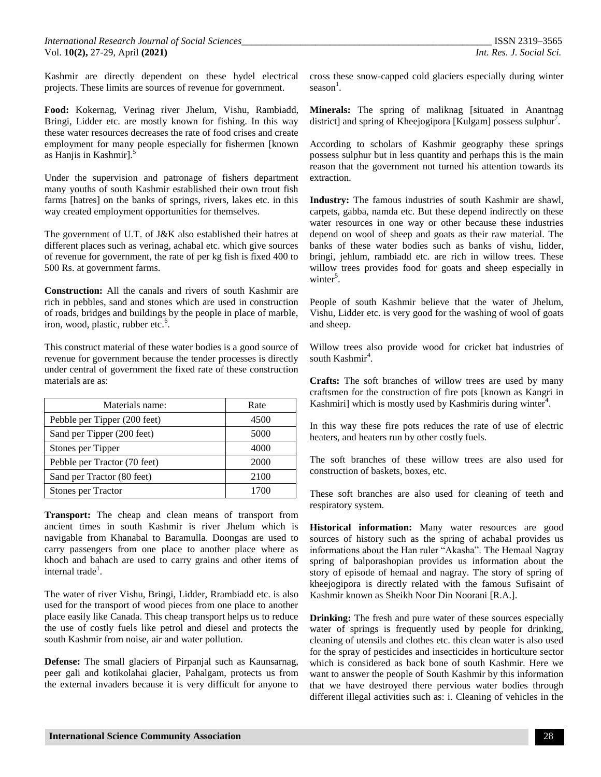Kashmir are directly dependent on these hydel electrical projects. These limits are sources of revenue for government.

**Food:** Kokernag, Verinag river Jhelum, Vishu, Rambiadd, Bringi, Lidder etc. are mostly known for fishing. In this way these water resources decreases the rate of food crises and create employment for many people especially for fishermen [known as Hanjis in Kashmir].<sup>5</sup>

Under the supervision and patronage of fishers department many youths of south Kashmir established their own trout fish farms [hatres] on the banks of springs, rivers, lakes etc. in this way created employment opportunities for themselves.

The government of U.T. of J&K also established their hatres at different places such as verinag, achabal etc. which give sources of revenue for government, the rate of per kg fish is fixed 400 to 500 Rs. at government farms.

**Construction:** All the canals and rivers of south Kashmir are rich in pebbles, sand and stones which are used in construction of roads, bridges and buildings by the people in place of marble, iron, wood, plastic, rubber etc.<sup>6</sup>.

This construct material of these water bodies is a good source of revenue for government because the tender processes is directly under central of government the fixed rate of these construction materials are as:

| Materials name:              | Rate |
|------------------------------|------|
| Pebble per Tipper (200 feet) | 4500 |
| Sand per Tipper (200 feet)   | 5000 |
| Stones per Tipper            | 4000 |
| Pebble per Tractor (70 feet) | 2000 |
| Sand per Tractor (80 feet)   | 2100 |
| Stones per Tractor           |      |

**Transport:** The cheap and clean means of transport from ancient times in south Kashmir is river Jhelum which is navigable from Khanabal to Baramulla. Doongas are used to carry passengers from one place to another place where as khoch and bahach are used to carry grains and other items of internal trade<sup>1</sup>.

The water of river Vishu, Bringi, Lidder, Rrambiadd etc. is also used for the transport of wood pieces from one place to another place easily like Canada. This cheap transport helps us to reduce the use of costly fuels like petrol and diesel and protects the south Kashmir from noise, air and water pollution.

**Defense:** The small glaciers of Pirpanjal such as Kaunsarnag, peer gali and kotikolahai glacier, Pahalgam, protects us from the external invaders because it is very difficult for anyone to

cross these snow-capped cold glaciers especially during winter season<sup>1</sup>.

**Minerals:** The spring of maliknag [situated in Anantnag] district] and spring of Kheejogipora [Kulgam] possess sulphur<sup>7</sup>.

According to scholars of Kashmir geography these springs possess sulphur but in less quantity and perhaps this is the main reason that the government not turned his attention towards its extraction.

**Industry:** The famous industries of south Kashmir are shawl, carpets, gabba, namda etc. But these depend indirectly on these water resources in one way or other because these industries depend on wool of sheep and goats as their raw material. The banks of these water bodies such as banks of vishu, lidder, bringi, jehlum, rambiadd etc. are rich in willow trees. These willow trees provides food for goats and sheep especially in winter<sup>5</sup>.

People of south Kashmir believe that the water of Jhelum, Vishu, Lidder etc. is very good for the washing of wool of goats and sheep.

Willow trees also provide wood for cricket bat industries of south Kashmir<sup>4</sup>.

**Crafts:** The soft branches of willow trees are used by many craftsmen for the construction of fire pots [known as Kangri in Kashmiri] which is mostly used by Kashmiris during winter $4$ .

In this way these fire pots reduces the rate of use of electric heaters, and heaters run by other costly fuels.

The soft branches of these willow trees are also used for construction of baskets, boxes, etc.

These soft branches are also used for cleaning of teeth and respiratory system.

**Historical information:** Many water resources are good sources of history such as the spring of achabal provides us informations about the Han ruler "Akasha". The Hemaal Nagray spring of balporashopian provides us information about the story of episode of hemaal and nagray. The story of spring of kheejogipora is directly related with the famous Sufisaint of Kashmir known as Sheikh Noor Din Noorani [R.A.].

**Drinking:** The fresh and pure water of these sources especially water of springs is frequently used by people for drinking, cleaning of utensils and clothes etc. this clean water is also used for the spray of pesticides and insecticides in horticulture sector which is considered as back bone of south Kashmir. Here we want to answer the people of South Kashmir by this information that we have destroyed there pervious water bodies through different illegal activities such as: i. Cleaning of vehicles in the